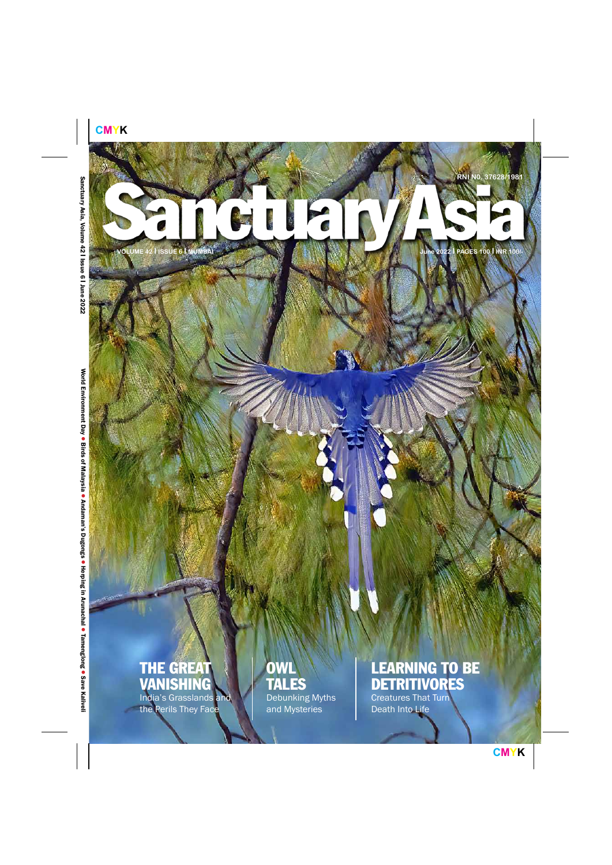# <span id="page-0-0"></span>TEIN **June 2022 I PAGES 100 I INR 100/-**

**VOLUME 42 I ISSUE 6 I MUMBAI**

## THE GREAT VANISHING

India's Grasslands and the Perils They Face

# **OWL** TALES

Debunking Myths and Mysteries

## LEARNING TO BE DETRITIVORES

Creatures That Turn Death Into Life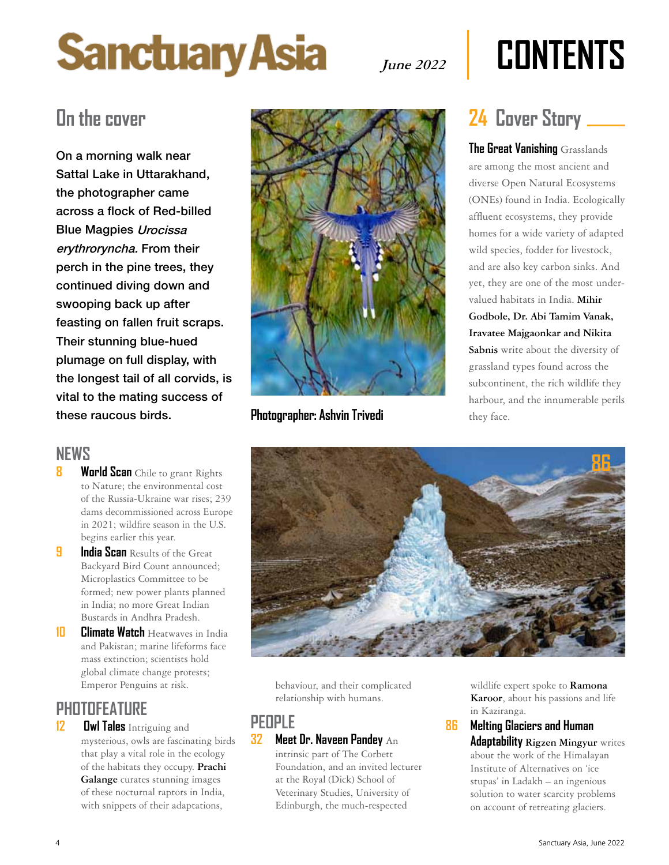# **Sanctuary Asia**

# **June 2022 COnTenTS**

On a morning walk near Sattal Lake in Uttarakhand, the photographer came across a flock of Red-billed Blue Magpies Urocissa erythroryncha. From their perch in the pine trees, they continued diving down and swooping back up after feasting on fallen fruit scraps. Their stunning blue-hued plumage on full display, with the longest tail of all corvids, is vital to the mating success of these raucous birds.

#### **neWS**

- **[World Scan](#page-0-0)** Chile to grant Rights to Nature; the environmental cost of the Russia-Ukraine war rises; 239 dams decommissioned across Europe in 2021; wildfire season in the U.S. begins earlier this year.
- **9 India Scan** Results of the Great Backyard Bird Count announced; Microplastics Committee to be formed; new power plants planned in India; no more Great Indian Bustards in Andhra Pradesh.
- **10 [Climate Watch](#page-0-0)** Heatwaves in India and Pakistan; marine lifeforms face mass extinction; scientists hold global climate change protests; Emperor Penguins at risk.

#### **PHOTOFeATURe**

**12 [Owl Tales](#page-0-0)** Intriguing and mysterious, owls are fascinating birds that play a vital role in the ecology of the habitats they occupy. **Prachi Galange** curates stunning images of these nocturnal raptors in India, with snippets of their adaptations,



**Photographer: Ashvin Trivedi** they face.

**The Great Vanishing** Grasslands are among the most ancient and diverse Open Natural Ecosystems (ONEs) found in India. Ecologically affluent ecosystems, they provide homes for a wide variety of adapted wild species, fodder for livestock, and are also key carbon sinks. And yet, they are one of the most undervalued habitats in India. **Mihir** 

**Godbole, Dr. Abi Tamim Vanak, Iravatee Majgaonkar and Nikita** 

**Sabnis** write about the diversity of grassland types found across the subcontinent, the rich wildlife they harbour, and the innumerable perils



behaviour, and their complicated relationship with humans.

#### **PeOPLe 32 [Meet Dr. naveen Pandey](#page-0-0)** An

intrinsic part of The Corbett Foundation, and an invited lecturer at the Royal (Dick) School of Veterinary Studies, University of Edinburgh, the much-respected

wildlife expert spoke to **Ramona Karoor**, about his passions and life in Kaziranga.

#### **86 [Melting Glaciers and Human](#page-0-0)  [Adaptability](#page-0-0) Rigzen Mingyur** writes about the work of the Himalayan Institute of Alternatives on 'ice stupas' in Ladakh – an ingenious solution to water scarcity problems on account of retreating glaciers.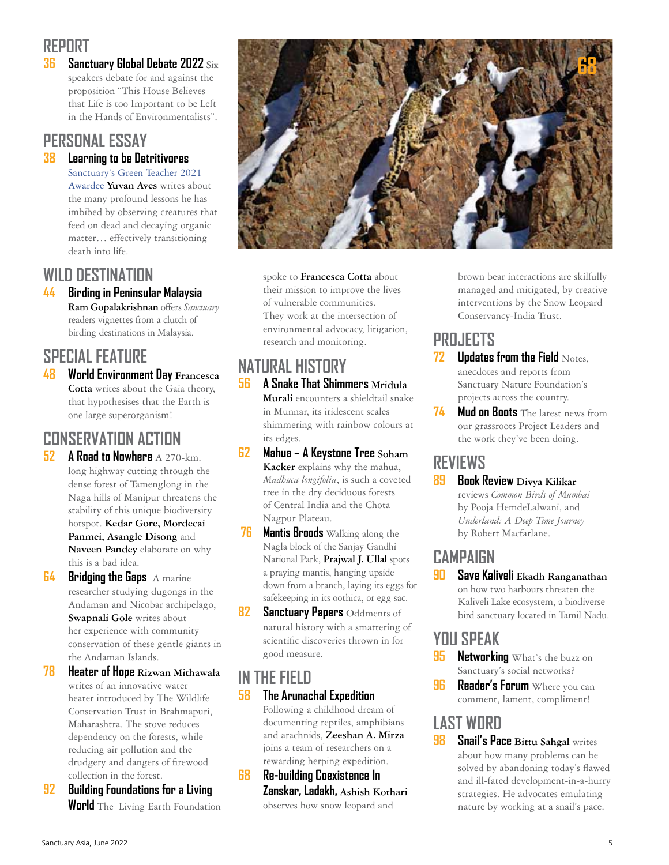#### **REPORT**

**36 [Sanctuary Global Debate 2022](#page-0-0)** Six speakers debate for and against the proposition "This House Believes that Life is too Important to be Left in the Hands of Environmentalists".

#### **PERSONAL ESSAY**

#### **38 [Learning to be Detritivores](#page-0-0)**

[Sanctuary's Green Teacher 2021](https://www.sanctuarynaturefoundation.org/award/yuvan-aves)  [Awardee](https://www.sanctuarynaturefoundation.org/award/yuvan-aves) **Yuvan Aves** writes about the many profound lessons he has imbibed by observing creatures that feed on dead and decaying organic matter… effectively transitioning death into life.

#### **WILD DESTINATION**

**44 [Birding in Peninsular Malaysia](#page-0-0) Ram Gopalakrishnan** offers *Sanctuary* readers vignettes from a clutch of birding destinations in Malaysia.

#### **SPECIAL FEATURE**

**48 [World Environment Day](#page-0-0) Francesca Cotta** writes about the Gaia theory, that hypothesises that the Earth is one large superorganism!

#### **CONSERVATION ACTION**

- **52 [A Road to Nowhere](#page-0-0)** A 270-km. long highway cutting through the dense forest of Tamenglong in the Naga hills of Manipur threatens the stability of this unique biodiversity hotspot. **Kedar Gore, Mordecai Panmei, Asangle Disong** and **Naveen Pandey** elaborate on why this is a bad idea.
- **64 [Bridging the Gaps](#page-0-0)** A marine researcher studying dugongs in the Andaman and Nicobar archipelago, **Swapnali Gole** writes about her experience with community conservation of these gentle giants in the Andaman Islands.
- **78 [Heater of Hope](#page-0-0) Rizwan Mithawala** writes of an innovative water heater introduced by The Wildlife Conservation Trust in Brahmapuri, Maharashtra. The stove reduces dependency on the forests, while reducing air pollution and the drudgery and dangers of firewood collection in the forest.
- **92 [Building Foundations for a Living](#page-0-0)  World** The Living Earth Foundation



spoke to **Francesca Cotta** about their mission to improve the lives of vulnerable communities. They work at the intersection of environmental advocacy, litigation, research and monitoring.

### **NATURAL HISTORY**

- **56 [A Snake That Shimmers](#page-0-0) Mridula Murali** encounters a shieldtail snake in Munnar, its iridescent scales shimmering with rainbow colours at its edges.
- **62 [Mahua A Keystone Tree](#page-0-0) Soham Kacker** explains why the mahua, *Madhuca longifolia*, is such a coveted tree in the dry deciduous forests of Central India and the Chota Nagpur Plateau.
- **76 [Mantis Broods](#page-0-0)** Walking along the Nagla block of the Sanjay Gandhi National Park, **Prajwal J. Ullal** spots a praying mantis, hanging upside down from a branch, laying its eggs for safekeeping in its oothica, or egg sac.
- **82 [Sanctuary Papers](#page-0-0)** Oddments of natural history with a smattering of scientific discoveries thrown in for good measure.

#### **IN THE FIELD**

- **58 [The Arunachal Expedition](#page-0-0)** Following a childhood dream of documenting reptiles, amphibians and arachnids, **Zeeshan A. Mirza** joins a team of researchers on a rewarding herping expedition.
- **68 [Re-building Coexistence In](#page-3-0)  [Zanskar, Ladakh,](#page-3-0) Ashish Kothari**  observes how snow leopard and

brown bear interactions are skilfully managed and mitigated, by creative interventions by the Snow Leopard Conservancy-India Trust.

### **PROJECTS**

- **72 [Updates from the Field](#page-0-0) Notes.** anecdotes and reports from Sanctuary Nature Foundation's projects across the country.
- **74 [Mud on Boots](#page-0-0)** The latest news from our grassroots Project Leaders and the work they've been doing.

#### **REVIEWS**

**89 [Book Review](#page-0-0) Divya Kilikar** reviews *Common Birds of Mumbai* by Pooja HemdeLalwani, and *Underland: A Deep Time Journey*  by Robert Macfarlane.

### **CAMPAIGN**

**90 [Save Kaliveli](#page-0-0) Ekadh Ranganathan** on how two harbours threaten the Kaliveli Lake ecosystem, a biodiverse bird sanctuary located in Tamil Nadu.

#### **YOU SPEAK**

- **95 [Networking](#page-0-0)** What's the buzz on Sanctuary's social networks?
- **96 [Reader's Forum](#page-0-0)** Where you can comment, lament, compliment!

#### **LAST WORD**

**98 [Snail's Pace](#page-0-0) Bittu Sahgal** writes about how many problems can be solved by abandoning today's flawed and ill-fated development-in-a-hurry strategies. He advocates emulating nature by working at a snail's pace.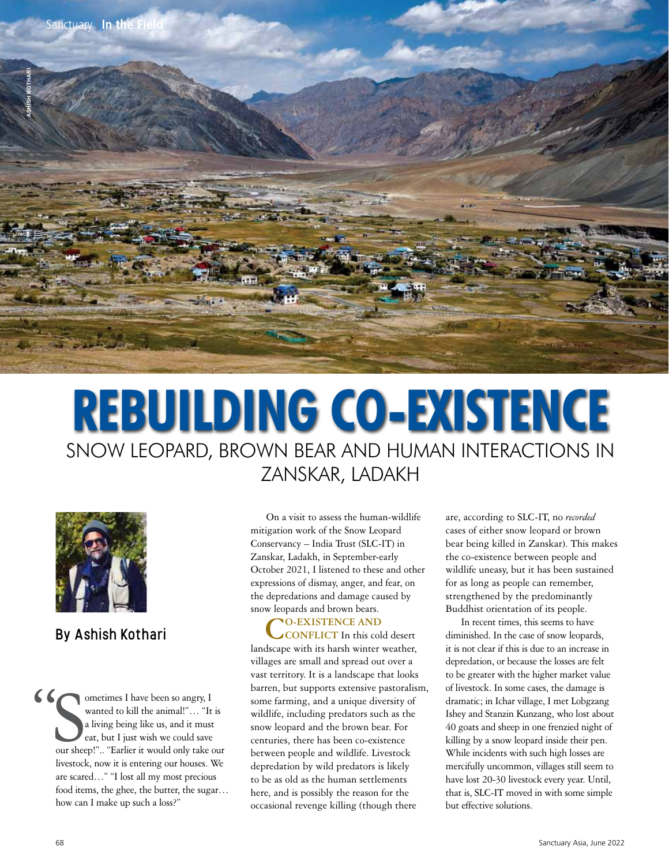<span id="page-3-0"></span>

# **Rebuilding Co-existenCe** Snow Leopard, Brown Bear and Human InteractIonS In ZanSkar, LadakH



#### By Ashish Kothari

"Sourched" ometimes I have been so angry, I wanted to kill the animal!"… "It is a living being like us, and it must eat, but I just wish we could save our sheep!".. "Earlier it would only take our livestock, now it is entering our houses. We are scared…" "I lost all my most precious food items, the ghee, the butter, the sugar… how can I make up such a loss?"

On a visit to assess the human-wildlife mitigation work of the Snow Leopard Conservancy – India Trust (SLC-IT) in Zanskar, Ladakh, in September-early October 2021, I listened to these and other expressions of dismay, anger, and fear, on the depredations and damage caused by snow leopards and brown bears.

## **CO-EXISTENCE AND CONFLICT** In this cold desert

landscape with its harsh winter weather, villages are small and spread out over a vast territory. It is a landscape that looks barren, but supports extensive pastoralism, some farming, and a unique diversity of wildlife, including predators such as the snow leopard and the brown bear. For centuries, there has been co-existence between people and wildlife. Livestock depredation by wild predators is likely to be as old as the human settlements here, and is possibly the reason for the occasional revenge killing (though there

are, according to SLC-IT, no *recorded* cases of either snow leopard or brown bear being killed in Zanskar). This makes the co-existence between people and wildlife uneasy, but it has been sustained for as long as people can remember, strengthened by the predominantly Buddhist orientation of its people.

In recent times, this seems to have diminished. In the case of snow leopards, it is not clear if this is due to an increase in depredation, or because the losses are felt to be greater with the higher market value of livestock. In some cases, the damage is dramatic; in Ichar village, I met Lobgzang Ishey and Stanzin Kunzang, who lost about 40 goats and sheep in one frenzied night of killing by a snow leopard inside their pen. While incidents with such high losses are mercifully uncommon, villages still seem to have lost 20-30 livestock every year. Until, that is, SLC-IT moved in with some simple but effective solutions.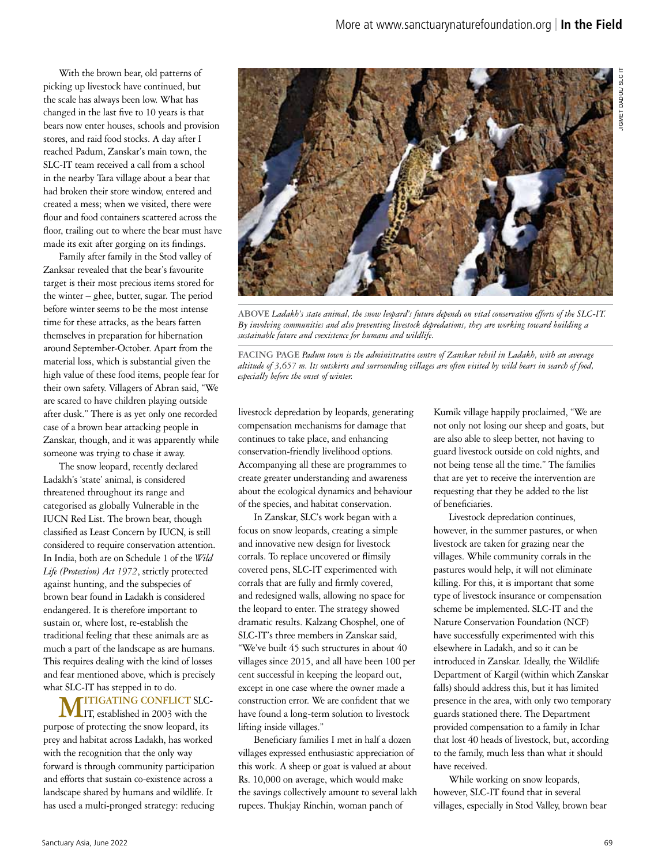With the brown bear, old patterns of picking up livestock have continued, but the scale has always been low. What has changed in the last five to 10 years is that bears now enter houses, schools and provision stores, and raid food stocks. A day after I reached Padum, Zanskar's main town, the SLC-IT team received a call from a school in the nearby Tara village about a bear that had broken their store window, entered and created a mess; when we visited, there were flour and food containers scattered across the floor, trailing out to where the bear must have made its exit after gorging on its findings.

Family after family in the Stod valley of Zanksar revealed that the bear's favourite target is their most precious items stored for the winter – ghee, butter, sugar. The period before winter seems to be the most intense time for these attacks, as the bears fatten themselves in preparation for hibernation around September-October. Apart from the material loss, which is substantial given the high value of these food items, people fear for their own safety. Villagers of Abran said, "We are scared to have children playing outside after dusk." There is as yet only one recorded case of a brown bear attacking people in Zanskar, though, and it was apparently while someone was trying to chase it away.

The snow leopard, recently declared Ladakh's 'state' animal, is considered threatened throughout its range and categorised as globally Vulnerable in the IUCN Red List. The brown bear, though classified as Least Concern by IUCN, is still considered to require conservation attention. In India, both are on Schedule 1 of the *Wild Life (Protection) Act 1972*, strictly protected against hunting, and the subspecies of brown bear found in Ladakh is considered endangered. It is therefore important to sustain or, where lost, re-establish the traditional feeling that these animals are as much a part of the landscape as are humans. This requires dealing with the kind of losses and fear mentioned above, which is precisely what SLC-IT has stepped in to do.

**MITIGATING CONFLICT SLC-**IT, established in 2003 with the purpose of protecting the snow leopard, its prey and habitat across Ladakh, has worked with the recognition that the only way forward is through community participation and efforts that sustain co-existence across a landscape shared by humans and wildlife. It has used a multi-pronged strategy: reducing



**ABOVE** *Ladakh's state animal, the snow leopard's future depends on vital conservation efforts of the SLC-IT. By involving communities and also preventing livestock depredations, they are working toward building a sustainable future and coexistence for humans and wildlife.*

**FACING PAGE** *Padum town is the administrative centre of Zanskar tehsil in Ladakh, with an average altitude of 3,657 m. Its outskirts and surrounding villages are often visited by wild bears in search of food, especially before the onset of winter.*

livestock depredation by leopards, generating compensation mechanisms for damage that continues to take place, and enhancing conservation-friendly livelihood options. Accompanying all these are programmes to create greater understanding and awareness about the ecological dynamics and behaviour of the species, and habitat conservation.

In Zanskar, SLC's work began with a focus on snow leopards, creating a simple and innovative new design for livestock corrals. To replace uncovered or flimsily covered pens, SLC-IT experimented with corrals that are fully and firmly covered, and redesigned walls, allowing no space for the leopard to enter. The strategy showed dramatic results. Kalzang Chosphel, one of SLC-IT's three members in Zanskar said, "We've built 45 such structures in about 40 villages since 2015, and all have been 100 per cent successful in keeping the leopard out, except in one case where the owner made a construction error. We are confident that we have found a long-term solution to livestock lifting inside villages."

Beneficiary families I met in half a dozen villages expressed enthusiastic appreciation of this work. A sheep or goat is valued at about Rs. 10,000 on average, which would make the savings collectively amount to several lakh rupees. Thukjay Rinchin, woman panch of

Kumik village happily proclaimed, "We are not only not losing our sheep and goats, but are also able to sleep better, not having to guard livestock outside on cold nights, and not being tense all the time." The families that are yet to receive the intervention are requesting that they be added to the list of beneficiaries.

Livestock depredation continues, however, in the summer pastures, or when livestock are taken for grazing near the villages. While community corrals in the pastures would help, it will not eliminate killing. For this, it is important that some type of livestock insurance or compensation scheme be implemented. SLC-IT and the Nature Conservation Foundation (NCF) have [successfully experimented with this](https://www.sanctuarynaturefoundation.org/article/seeding-conservation-through-community-action)  [elsewhere](https://www.sanctuarynaturefoundation.org/article/seeding-conservation-through-community-action) in Ladakh, and so it can be introduced in Zanskar. Ideally, the Wildlife Department of Kargil (within which Zanskar falls) should address this, but it has limited presence in the area, with only two temporary guards stationed there. The Department provided compensation to a family in Ichar that lost 40 heads of livestock, but, according to the family, much less than what it should have received.

While working on snow leopards, however, SLC-IT found that in several villages, especially in Stod Valley, brown bear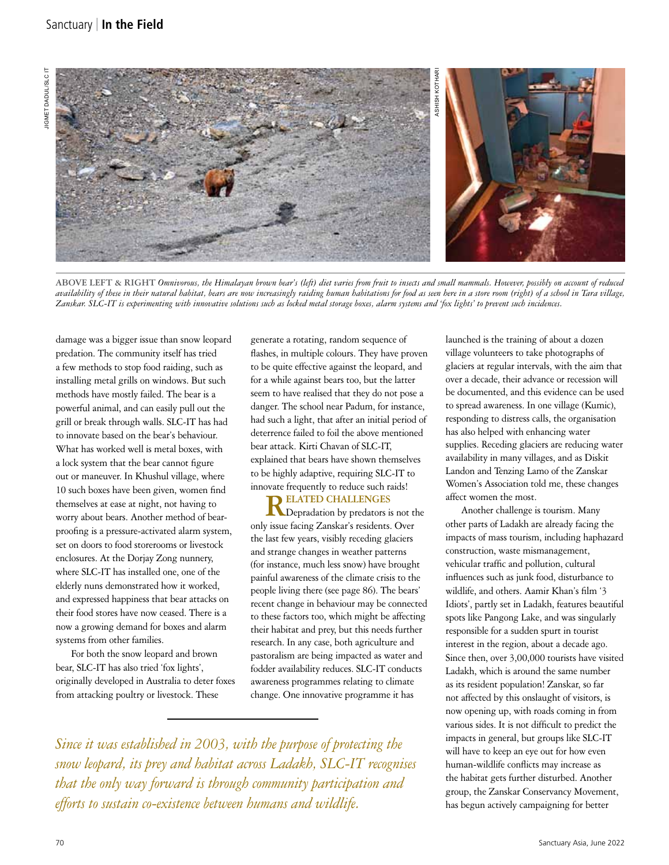

**ABOVE LEFT & RIGHT** *Omnivorous, the Himalayan brown bear's (left) diet varies from fruit to insects and small mammals. However, possibly on account of reduced availability of these in their natural habitat, bears are now increasingly raiding human habitations for food as seen here in a store room (right) of a school in Tara village, Zanskar. SLC-IT is experimenting with innovative solutions such as locked metal storage boxes, alarm systems and 'fox lights' to prevent such incidences.* 

damage was a bigger issue than snow leopard predation. The community itself has tried a few methods to stop food raiding, such as installing metal grills on windows. But such methods have mostly failed. The bear is a powerful animal, and can easily pull out the grill or break through walls. SLC-IT has had to innovate based on the bear's behaviour. What has worked well is metal boxes, with a lock system that the bear cannot figure out or maneuver. In Khushul village, where 10 such boxes have been given, women find themselves at ease at night, not having to worry about bears. Another method of bearproofing is a pressure-activated alarm system, set on doors to food storerooms or livestock enclosures. At the Dorjay Zong nunnery, where SLC-IT has installed one, one of the elderly nuns demonstrated how it worked, and expressed happiness that bear attacks on their food stores have now ceased. There is a now a growing demand for boxes and alarm systems from other families.

For both the snow leopard and brown bear, SLC-IT has also tried 'fox lights', originally developed in Australia to deter foxes from attacking poultry or livestock. These

generate a rotating, random sequence of flashes, in multiple colours. They have proven to be quite effective against the leopard, and for a while against bears too, but the latter seem to have realised that they do not pose a danger. The school near Padum, for instance, had such a light, that after an initial period of deterrence failed to foil the above mentioned bear attack. Kirti Chavan of SLC-IT, explained that bears have shown themselves to be highly adaptive, requiring SLC-IT to innovate frequently to reduce such raids!

**RELATED CHALLENGES**  Depradation by predators is not the only issue facing Zanskar's residents. Over the last few years, visibly receding glaciers and strange changes in weather patterns (for instance, much less snow) have brought painful awareness of the climate crisis to the people living there [\(see page 86\).](#page-0-0) The bears' recent change in behaviour may be connected to these factors too, which might be affecting their habitat and prey, but this needs further research. In any case, both agriculture and pastoralism are being impacted as water and fodder availability reduces. SLC-IT conducts awareness programmes relating to climate change. One innovative programme it has

*Since it was established in 2003, with the purpose of protecting the snow leopard, its prey and habitat across Ladakh, SLC-IT recognises that the only way forward is through community participation and efforts to sustain co-existence between humans and wildlife.*

launched is the training of about a dozen village volunteers to take photographs of glaciers at regular intervals, with the aim that over a decade, their advance or recession will be documented, and this evidence can be used to spread awareness. In one village (Kumic), responding to distress calls, the organisation has also helped with enhancing water supplies. Receding glaciers are reducing water availability in many villages, and as Diskit Landon and Tenzing Lamo of the Zanskar Women's Association told me, these changes affect women the most.

Another challenge is tourism. Many other parts of Ladakh are already facing the impacts of mass tourism, including haphazard construction, waste mismanagement, vehicular traffic and pollution, cultural influences such as junk food, disturbance to wildlife, and others. Aamir Khan's film '3 Idiots', partly set in Ladakh, features beautiful spots like Pangong Lake, and was singularly responsible for a sudden spurt in tourist interest in the region, about a decade ago. Since then, over 3,00,000 tourists have visited Ladakh, which is around the same number as its resident population! Zanskar, so far not affected by this onslaught of visitors, is now opening up, with roads coming in from various sides. It is not difficult to predict the impacts in general, but groups like SLC-IT will have to keep an eye out for how even human-wildlife conflicts may increase as the habitat gets further disturbed. Another group, the Zanskar Conservancy Movement, has begun actively campaigning for better